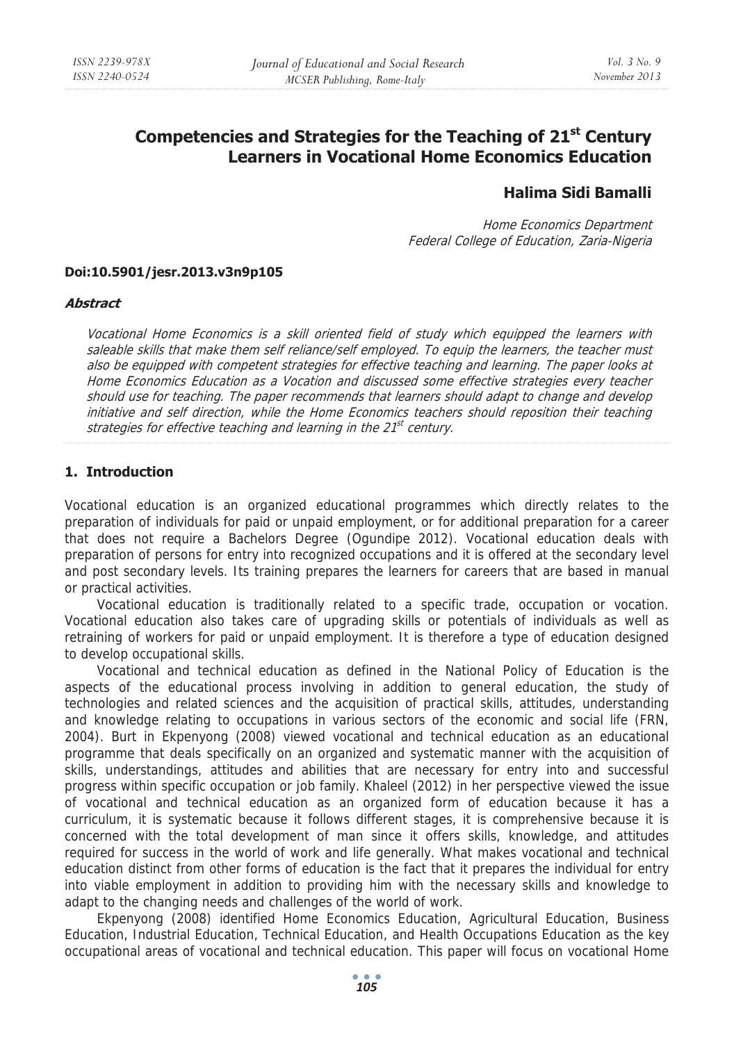# **Competencies and Strategies for the Teaching of 21st Century Learners in Vocational Home Economics Education**

## **Halima Sidi Bamalli**

Home Economics Department Federal College of Education, Zaria-Nigeria

#### **Doi:10.5901/jesr.2013.v3n9p105**

#### **Abstract**

Vocational Home Economics is a skill oriented field of study which equipped the learners with saleable skills that make them self reliance/self employed. To equip the learners, the teacher must also be equipped with competent strategies for effective teaching and learning. The paper looks at Home Economics Education as a Vocation and discussed some effective strategies every teacher should use for teaching. The paper recommends that learners should adapt to change and develop initiative and self direction, while the Home Economics teachers should reposition their teaching strategies for effective teaching and learning in the  $21<sup>st</sup>$  century.

#### **1. Introduction**

Vocational education is an organized educational programmes which directly relates to the preparation of individuals for paid or unpaid employment, or for additional preparation for a career that does not require a Bachelors Degree (Ogundipe 2012). Vocational education deals with preparation of persons for entry into recognized occupations and it is offered at the secondary level and post secondary levels. Its training prepares the learners for careers that are based in manual or practical activities.

Vocational education is traditionally related to a specific trade, occupation or vocation. Vocational education also takes care of upgrading skills or potentials of individuals as well as retraining of workers for paid or unpaid employment. It is therefore a type of education designed to develop occupational skills.

Vocational and technical education as defined in the National Policy of Education is the aspects of the educational process involving in addition to general education, the study of technologies and related sciences and the acquisition of practical skills, attitudes, understanding and knowledge relating to occupations in various sectors of the economic and social life (FRN, 2004). Burt in Ekpenyong (2008) viewed vocational and technical education as an educational programme that deals specifically on an organized and systematic manner with the acquisition of skills, understandings, attitudes and abilities that are necessary for entry into and successful progress within specific occupation or job family. Khaleel (2012) in her perspective viewed the issue of vocational and technical education as an organized form of education because it has a curriculum, it is systematic because it follows different stages, it is comprehensive because it is concerned with the total development of man since it offers skills, knowledge, and attitudes required for success in the world of work and life generally. What makes vocational and technical education distinct from other forms of education is the fact that it prepares the individual for entry into viable employment in addition to providing him with the necessary skills and knowledge to adapt to the changing needs and challenges of the world of work.

Ekpenyong (2008) identified Home Economics Education, Agricultural Education, Business Education, Industrial Education, Technical Education, and Health Occupations Education as the key occupational areas of vocational and technical education. This paper will focus on vocational Home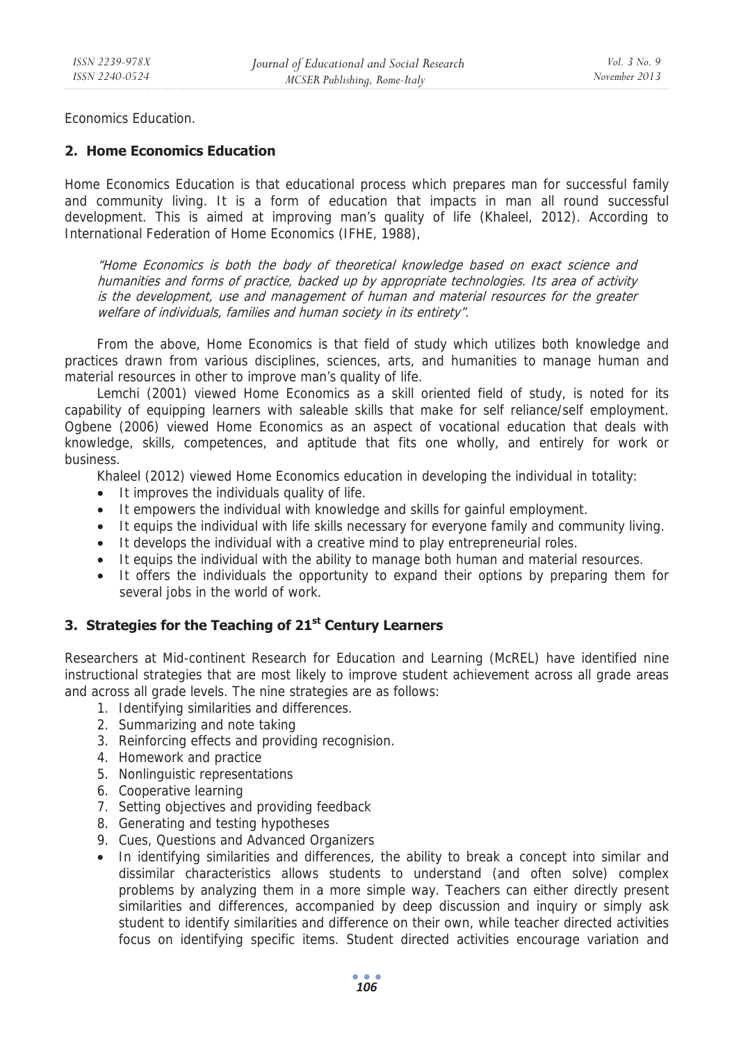Economics Education.

### **2. Home Economics Education**

Home Economics Education is that educational process which prepares man for successful family and community living. It is a form of education that impacts in man all round successful development. This is aimed at improving man's quality of life (Khaleel, 2012). According to International Federation of Home Economics (IFHE, 1988),

"Home Economics is both the body of theoretical knowledge based on exact science and humanities and forms of practice, backed up by appropriate technologies. Its area of activity is the development, use and management of human and material resources for the greater welfare of individuals, families and human society in its entirety".

From the above, Home Economics is that field of study which utilizes both knowledge and practices drawn from various disciplines, sciences, arts, and humanities to manage human and material resources in other to improve man's quality of life.

Lemchi (2001) viewed Home Economics as a skill oriented field of study, is noted for its capability of equipping learners with saleable skills that make for self reliance/self employment. Ogbene (2006) viewed Home Economics as an aspect of vocational education that deals with knowledge, skills, competences, and aptitude that fits one wholly, and entirely for work or business.

Khaleel (2012) viewed Home Economics education in developing the individual in totality:

- It improves the individuals quality of life.
- It empowers the individual with knowledge and skills for gainful employment.
- It equips the individual with life skills necessary for everyone family and community living.
- It develops the individual with a creative mind to play entrepreneurial roles.
- It equips the individual with the ability to manage both human and material resources.
- It offers the individuals the opportunity to expand their options by preparing them for several jobs in the world of work.

#### **3. Strategies for the Teaching of 21st Century Learners**

Researchers at Mid-continent Research for Education and Learning (McREL) have identified nine instructional strategies that are most likely to improve student achievement across all grade areas and across all grade levels. The nine strategies are as follows:

- 1. Identifying similarities and differences.
- 2. Summarizing and note taking
- 3. Reinforcing effects and providing recognision.
- 4. Homework and practice
- 5. Nonlinguistic representations
- 6. Cooperative learning
- 7. Setting objectives and providing feedback
- 8. Generating and testing hypotheses
- 9. Cues, Questions and Advanced Organizers
- In identifying similarities and differences, the ability to break a concept into similar and dissimilar characteristics allows students to understand (and often solve) complex problems by analyzing them in a more simple way. Teachers can either directly present similarities and differences, accompanied by deep discussion and inquiry or simply ask student to identify similarities and difference on their own, while teacher directed activities focus on identifying specific items. Student directed activities encourage variation and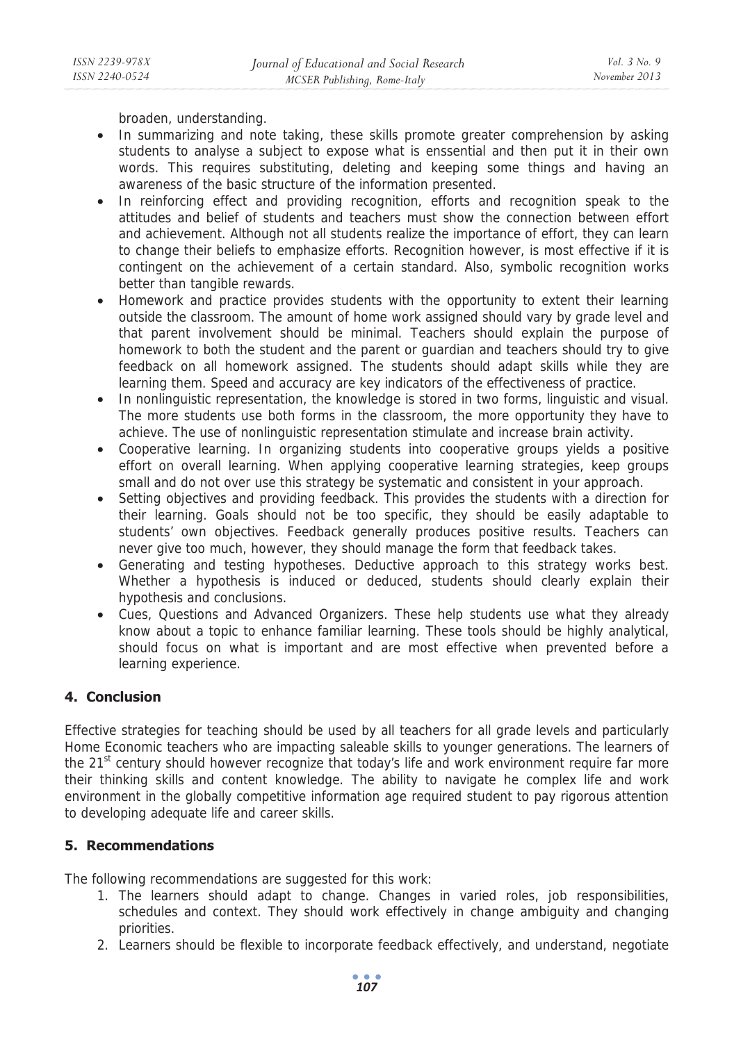broaden, understanding.

- In summarizing and note taking, these skills promote greater comprehension by asking students to analyse a subject to expose what is enssential and then put it in their own words. This requires substituting, deleting and keeping some things and having an awareness of the basic structure of the information presented.
- In reinforcing effect and providing recognition, efforts and recognition speak to the attitudes and belief of students and teachers must show the connection between effort and achievement. Although not all students realize the importance of effort, they can learn to change their beliefs to emphasize efforts. Recognition however, is most effective if it is contingent on the achievement of a certain standard. Also, symbolic recognition works better than tangible rewards.
- Homework and practice provides students with the opportunity to extent their learning outside the classroom. The amount of home work assigned should vary by grade level and that parent involvement should be minimal. Teachers should explain the purpose of homework to both the student and the parent or guardian and teachers should try to give feedback on all homework assigned. The students should adapt skills while they are learning them. Speed and accuracy are key indicators of the effectiveness of practice.
- In nonlinguistic representation, the knowledge is stored in two forms, linguistic and visual. The more students use both forms in the classroom, the more opportunity they have to achieve. The use of nonlinguistic representation stimulate and increase brain activity.
- Cooperative learning. In organizing students into cooperative groups yields a positive effort on overall learning. When applying cooperative learning strategies, keep groups small and do not over use this strategy be systematic and consistent in your approach.
- Setting objectives and providing feedback. This provides the students with a direction for their learning. Goals should not be too specific, they should be easily adaptable to students' own objectives. Feedback generally produces positive results. Teachers can never give too much, however, they should manage the form that feedback takes.
- Generating and testing hypotheses. Deductive approach to this strategy works best. Whether a hypothesis is induced or deduced, students should clearly explain their hypothesis and conclusions.
- Cues, Questions and Advanced Organizers. These help students use what they already know about a topic to enhance familiar learning. These tools should be highly analytical, should focus on what is important and are most effective when prevented before a learning experience.

## **4. Conclusion**

Effective strategies for teaching should be used by all teachers for all grade levels and particularly Home Economic teachers who are impacting saleable skills to younger generations. The learners of the 21<sup>st</sup> century should however recognize that today's life and work environment require far more their thinking skills and content knowledge. The ability to navigate he complex life and work environment in the globally competitive information age required student to pay rigorous attention to developing adequate life and career skills.

## **5. Recommendations**

The following recommendations are suggested for this work:

- 1. The learners should adapt to change. Changes in varied roles, job responsibilities, schedules and context. They should work effectively in change ambiguity and changing priorities.
- 2. Learners should be flexible to incorporate feedback effectively, and understand, negotiate